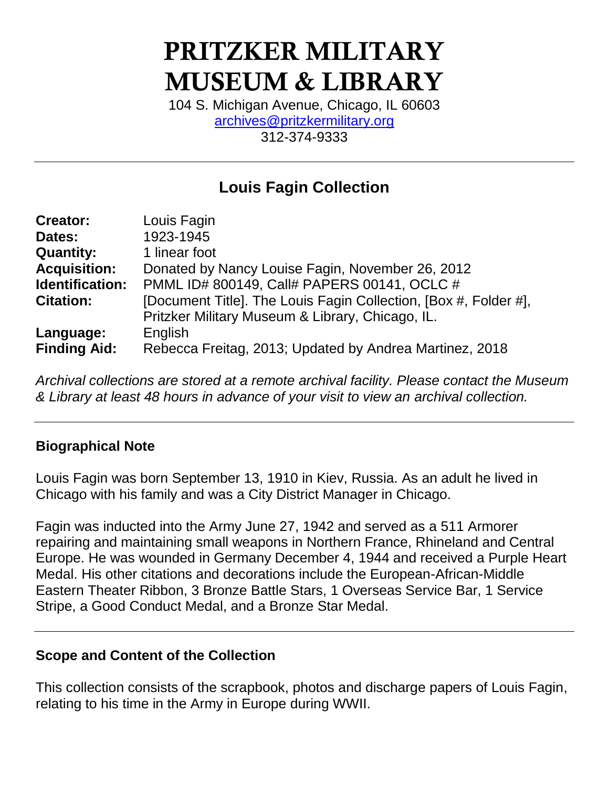# **PRITZKER MILITARY MUSEUM & LIBRARY**

104 S. Michigan Avenue, Chicago, IL 60603 [archives@pritzkermilitary.org](mailto:archives@pritzkermilitary.org) 312-374-9333

# **Louis Fagin Collection**

| <b>Creator:</b>     | Louis Fagin                                                      |
|---------------------|------------------------------------------------------------------|
| Dates:              | 1923-1945                                                        |
| <b>Quantity:</b>    | 1 linear foot                                                    |
| <b>Acquisition:</b> | Donated by Nancy Louise Fagin, November 26, 2012                 |
| Identification:     | PMML ID# 800149, Call# PAPERS 00141, OCLC #                      |
| <b>Citation:</b>    | [Document Title]. The Louis Fagin Collection, [Box #, Folder #], |
|                     | Pritzker Military Museum & Library, Chicago, IL.                 |
| Language:           | English                                                          |
| <b>Finding Aid:</b> | Rebecca Freitag, 2013; Updated by Andrea Martinez, 2018          |

*Archival collections are stored at a remote archival facility. Please contact the Museum & Library at least 48 hours in advance of your visit to view an archival collection.*

## **Biographical Note**

Louis Fagin was born September 13, 1910 in Kiev, Russia. As an adult he lived in Chicago with his family and was a City District Manager in Chicago.

Fagin was inducted into the Army June 27, 1942 and served as a 511 Armorer repairing and maintaining small weapons in Northern France, Rhineland and Central Europe. He was wounded in Germany December 4, 1944 and received a Purple Heart Medal. His other citations and decorations include the European-African-Middle Eastern Theater Ribbon, 3 Bronze Battle Stars, 1 Overseas Service Bar, 1 Service Stripe, a Good Conduct Medal, and a Bronze Star Medal.

#### **Scope and Content of the Collection**

This collection consists of the scrapbook, photos and discharge papers of Louis Fagin, relating to his time in the Army in Europe during WWII.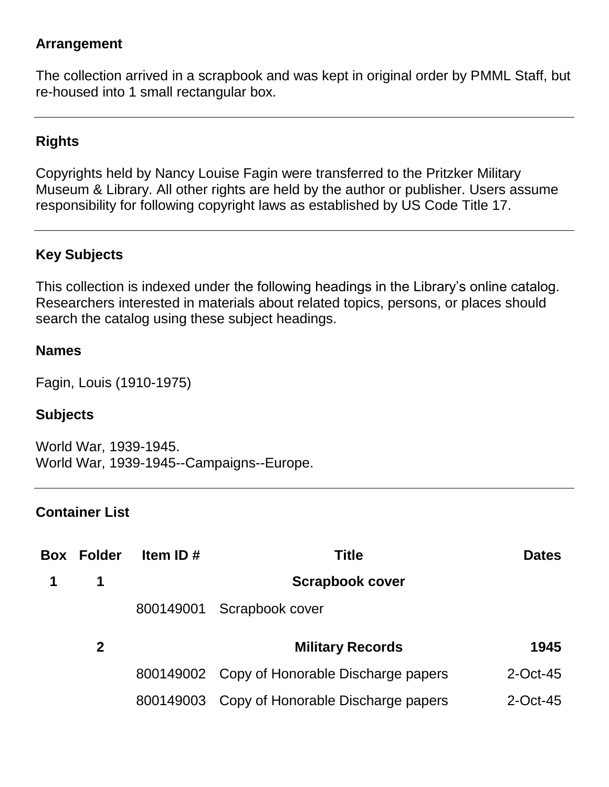### **Arrangement**

The collection arrived in a scrapbook and was kept in original order by PMML Staff, but re-housed into 1 small rectangular box.

# **Rights**

Copyrights held by Nancy Louise Fagin were transferred to the Pritzker Military Museum & Library. All other rights are held by the author or publisher. Users assume responsibility for following copyright laws as established by US Code Title 17.

# **Key Subjects**

This collection is indexed under the following headings in the Library's online catalog. Researchers interested in materials about related topics, persons, or places should search the catalog using these subject headings.

#### **Names**

Fagin, Louis (1910-1975)

#### **Subjects**

World War, 1939-1945. World War, 1939-1945--Campaigns--Europe.

#### **Container List**

| Box | <b>Folder</b> | Item ID# | Title                                        | <b>Dates</b> |
|-----|---------------|----------|----------------------------------------------|--------------|
|     | 1             |          | <b>Scrapbook cover</b>                       |              |
|     |               |          | 800149001 Scrapbook cover                    |              |
|     | $\mathbf 2$   |          | <b>Military Records</b>                      | 1945         |
|     |               |          | 800149002 Copy of Honorable Discharge papers | $2$ -Oct-45  |
|     |               |          | 800149003 Copy of Honorable Discharge papers | $2$ -Oct-45  |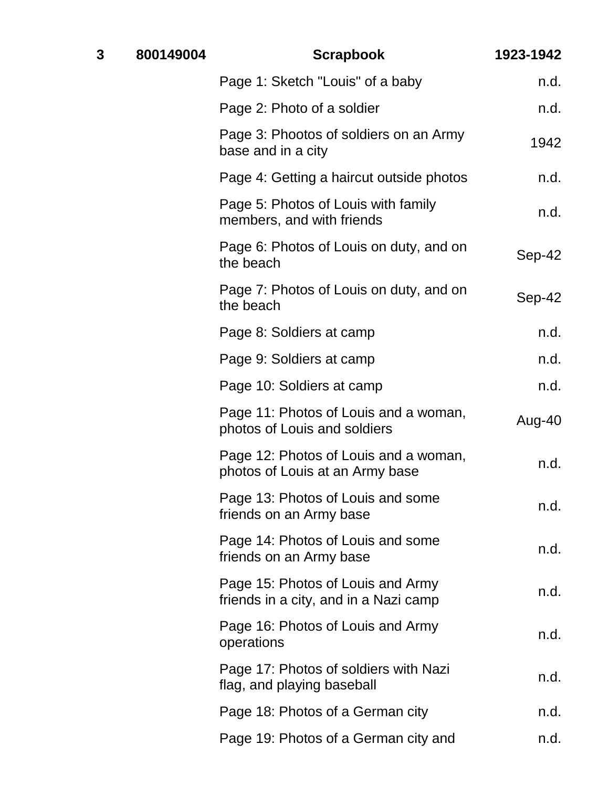| 3 | 800149004 | <b>Scrapbook</b>                                                           | 1923-1942 |
|---|-----------|----------------------------------------------------------------------------|-----------|
|   |           | Page 1: Sketch "Louis" of a baby                                           | n.d.      |
|   |           | Page 2: Photo of a soldier                                                 | n.d.      |
|   |           | Page 3: Phootos of soldiers on an Army<br>base and in a city               | 1942      |
|   |           | Page 4: Getting a haircut outside photos                                   | n.d.      |
|   |           | Page 5: Photos of Louis with family<br>members, and with friends           | n.d.      |
|   |           | Page 6: Photos of Louis on duty, and on<br>the beach                       | Sep-42    |
|   |           | Page 7: Photos of Louis on duty, and on<br>the beach                       | Sep-42    |
|   |           | Page 8: Soldiers at camp                                                   | n.d.      |
|   |           | Page 9: Soldiers at camp                                                   | n.d.      |
|   |           | Page 10: Soldiers at camp                                                  | n.d.      |
|   |           | Page 11: Photos of Louis and a woman,<br>photos of Louis and soldiers      | Aug-40    |
|   |           | Page 12: Photos of Louis and a woman,<br>photos of Louis at an Army base   | n.d.      |
|   |           | Page 13: Photos of Louis and some<br>friends on an Army base               | n.d.      |
|   |           | Page 14: Photos of Louis and some<br>friends on an Army base               | n.d.      |
|   |           | Page 15: Photos of Louis and Army<br>friends in a city, and in a Nazi camp | n.d.      |
|   |           | Page 16: Photos of Louis and Army<br>operations                            | n.d.      |
|   |           | Page 17: Photos of soldiers with Nazi<br>flag, and playing baseball        | n.d.      |
|   |           | Page 18: Photos of a German city                                           | n.d.      |
|   |           | Page 19: Photos of a German city and                                       | n.d.      |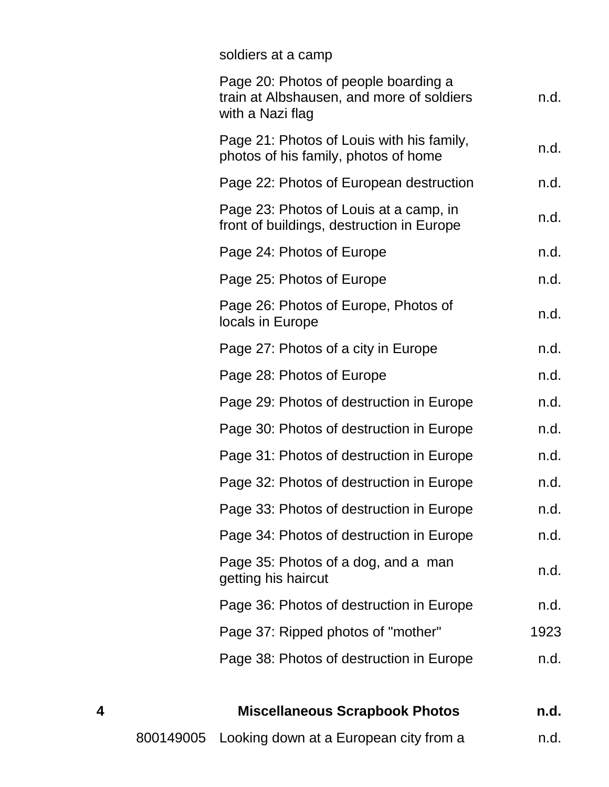# soldiers at a camp

| Page 20: Photos of people boarding a<br>train at Albshausen, and more of soldiers<br>with a Nazi flag | n.d. |
|-------------------------------------------------------------------------------------------------------|------|
| Page 21: Photos of Louis with his family,<br>photos of his family, photos of home                     | n.d. |
| Page 22: Photos of European destruction                                                               | n.d. |
| Page 23: Photos of Louis at a camp, in<br>front of buildings, destruction in Europe                   | n.d. |
| Page 24: Photos of Europe                                                                             | n.d. |
| Page 25: Photos of Europe                                                                             | n.d. |
| Page 26: Photos of Europe, Photos of<br>locals in Europe                                              | n.d. |
| Page 27: Photos of a city in Europe                                                                   | n.d. |
| Page 28: Photos of Europe                                                                             | n.d. |
| Page 29: Photos of destruction in Europe                                                              | n.d. |
| Page 30: Photos of destruction in Europe                                                              | n.d. |
| Page 31: Photos of destruction in Europe                                                              | n.d. |
| Page 32: Photos of destruction in Europe                                                              | n.d. |
| Page 33: Photos of destruction in Europe                                                              | n.d. |
| Page 34: Photos of destruction in Europe                                                              | n.d. |
| Page 35: Photos of a dog, and a man<br>getting his haircut                                            | n.d. |
| Page 36: Photos of destruction in Europe                                                              | n.d. |
| Page 37: Ripped photos of "mother"                                                                    | 1923 |
| Page 38: Photos of destruction in Europe                                                              | n.d. |
|                                                                                                       |      |

# **4 Miscellaneous Scrapbook Photos n.d.** 800149005 Looking down at a European city from a m.d.